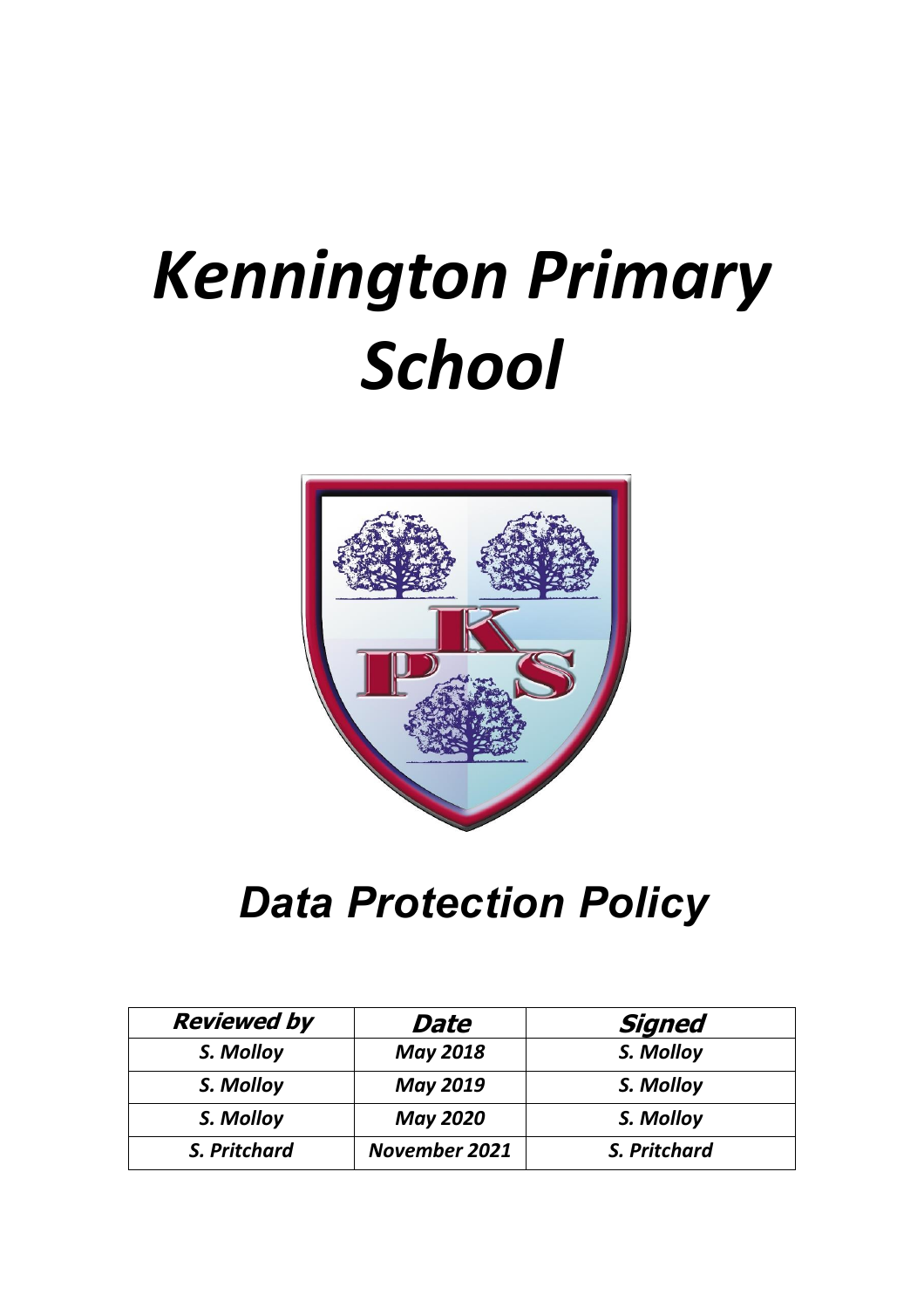# *Kennington Primary School*



# *Data Protection Policy*

| <b>Reviewed by</b> | Date                 | <b>Signed</b> |
|--------------------|----------------------|---------------|
| S. Molloy          | <b>May 2018</b>      | S. Molloy     |
| S. Molloy          | <b>May 2019</b>      | S. Molloy     |
| S. Molloy          | <b>May 2020</b>      | S. Molloy     |
| S. Pritchard       | <b>November 2021</b> | S. Pritchard  |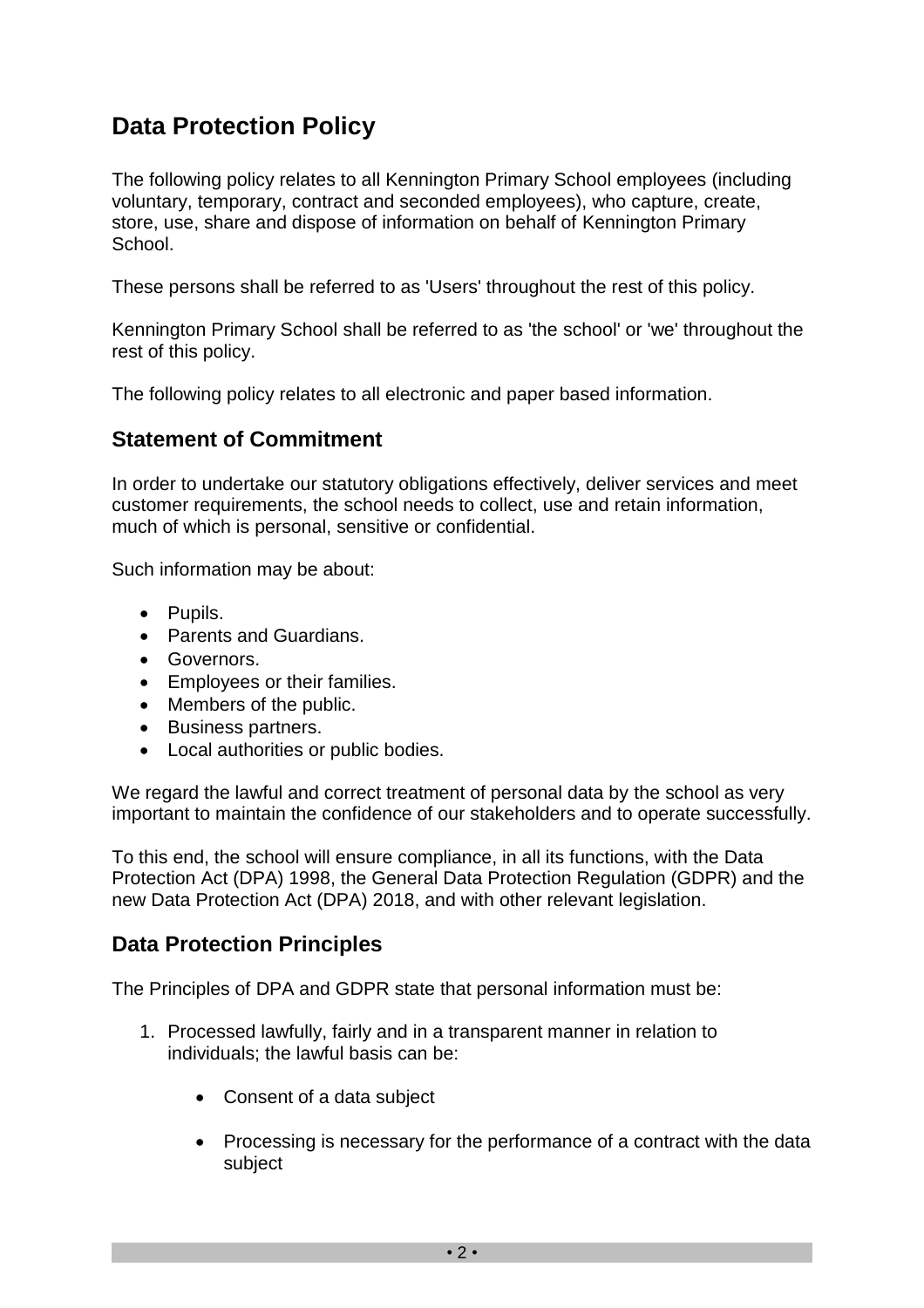## **Data Protection Policy**

The following policy relates to all Kennington Primary School employees (including voluntary, temporary, contract and seconded employees), who capture, create, store, use, share and dispose of information on behalf of Kennington Primary School.

These persons shall be referred to as 'Users' throughout the rest of this policy.

Kennington Primary School shall be referred to as 'the school' or 'we' throughout the rest of this policy.

The following policy relates to all electronic and paper based information.

#### **Statement of Commitment**

In order to undertake our statutory obligations effectively, deliver services and meet customer requirements, the school needs to collect, use and retain information, much of which is personal, sensitive or confidential.

Such information may be about:

- Pupils.
- Parents and Guardians.
- Governors.
- Employees or their families.
- Members of the public.
- Business partners.
- Local authorities or public bodies.

We regard the lawful and correct treatment of personal data by the school as very important to maintain the confidence of our stakeholders and to operate successfully.

To this end, the school will ensure compliance, in all its functions, with the Data Protection Act (DPA) 1998, the General Data Protection Regulation (GDPR) and the new Data Protection Act (DPA) 2018, and with other relevant legislation.

#### **Data Protection Principles**

The Principles of DPA and GDPR state that personal information must be:

- 1. Processed lawfully, fairly and in a transparent manner in relation to individuals; the lawful basis can be:
	- Consent of a data subject
	- Processing is necessary for the performance of a contract with the data subject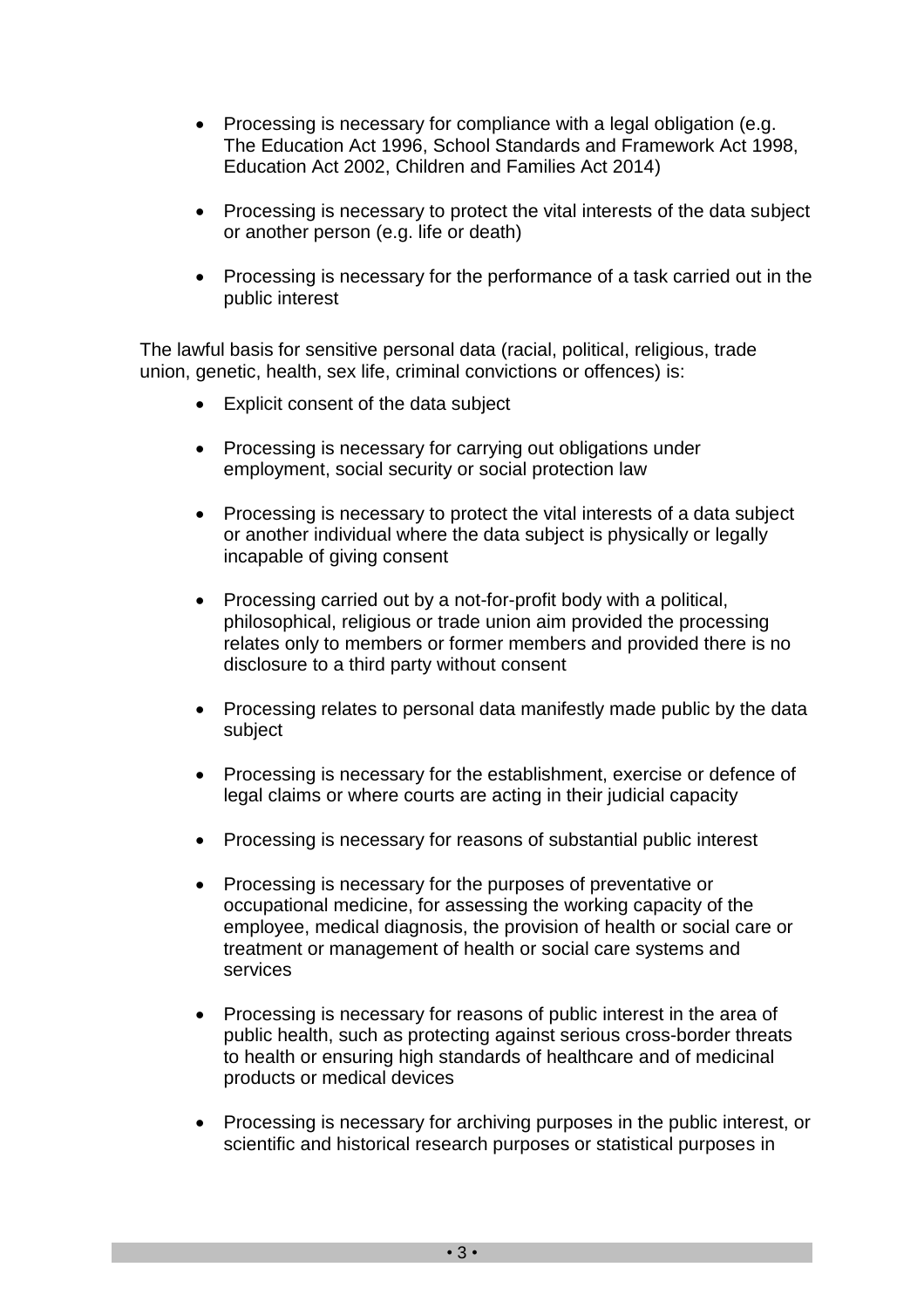- Processing is necessary for compliance with a legal obligation (e.g. The Education Act 1996, School Standards and Framework Act 1998, Education Act 2002, Children and Families Act 2014)
- Processing is necessary to protect the vital interests of the data subject or another person (e.g. life or death)
- Processing is necessary for the performance of a task carried out in the public interest

The lawful basis for sensitive personal data (racial, political, religious, trade union, genetic, health, sex life, criminal convictions or offences) is:

- Explicit consent of the data subject
- Processing is necessary for carrying out obligations under employment, social security or social protection law
- Processing is necessary to protect the vital interests of a data subject or another individual where the data subject is physically or legally incapable of giving consent
- Processing carried out by a not-for-profit body with a political, philosophical, religious or trade union aim provided the processing relates only to members or former members and provided there is no disclosure to a third party without consent
- Processing relates to personal data manifestly made public by the data subject
- Processing is necessary for the establishment, exercise or defence of legal claims or where courts are acting in their judicial capacity
- Processing is necessary for reasons of substantial public interest
- Processing is necessary for the purposes of preventative or occupational medicine, for assessing the working capacity of the employee, medical diagnosis, the provision of health or social care or treatment or management of health or social care systems and services
- Processing is necessary for reasons of public interest in the area of public health, such as protecting against serious cross-border threats to health or ensuring high standards of healthcare and of medicinal products or medical devices
- Processing is necessary for archiving purposes in the public interest, or scientific and historical research purposes or statistical purposes in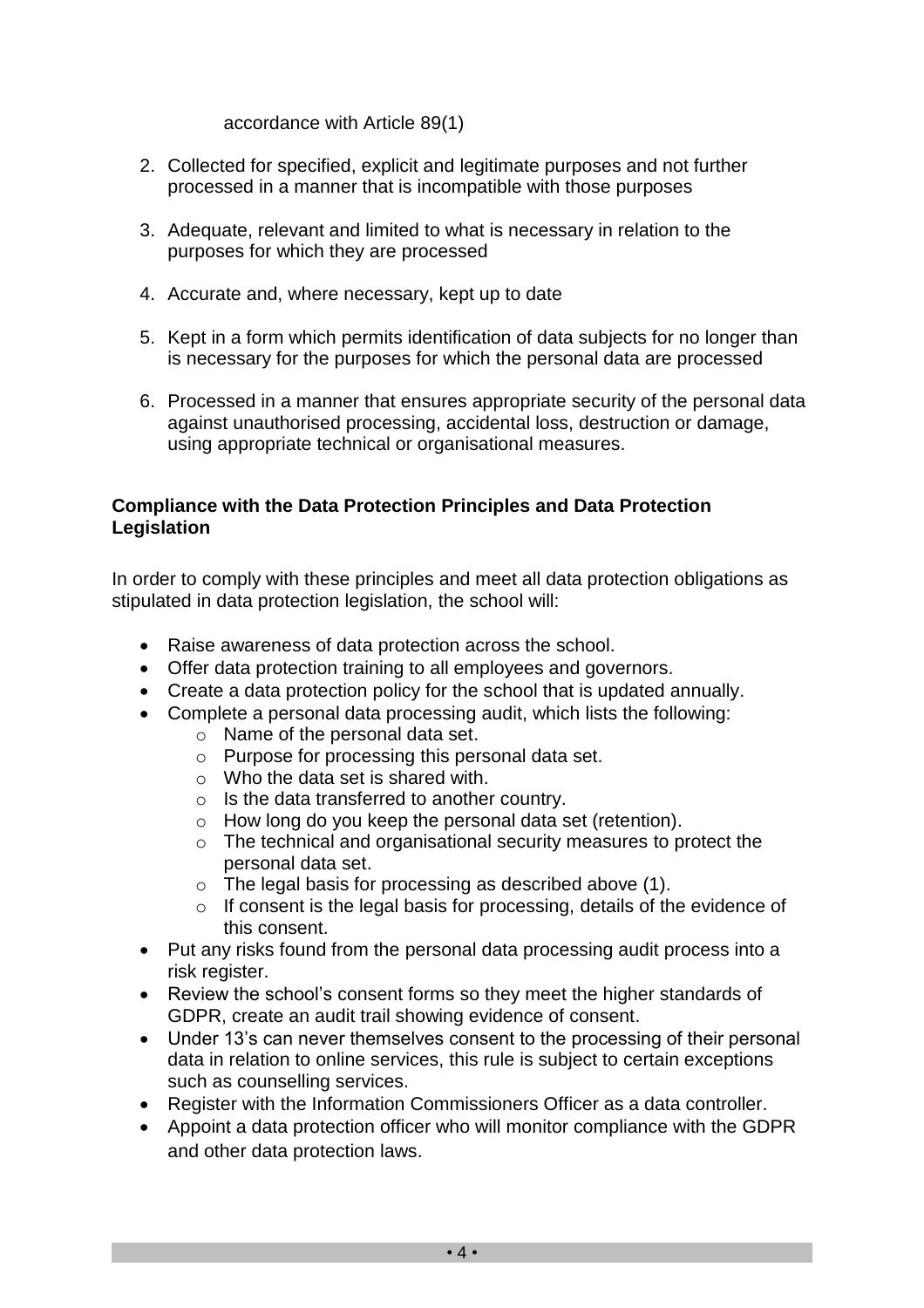#### accordance with Article 89(1)

- 2. Collected for specified, explicit and legitimate purposes and not further processed in a manner that is incompatible with those purposes
- 3. Adequate, relevant and limited to what is necessary in relation to the purposes for which they are processed
- 4. Accurate and, where necessary, kept up to date
- 5. Kept in a form which permits identification of data subjects for no longer than is necessary for the purposes for which the personal data are processed
- 6. Processed in a manner that ensures appropriate security of the personal data against unauthorised processing, accidental loss, destruction or damage, using appropriate technical or organisational measures.

#### **Compliance with the Data Protection Principles and Data Protection Legislation**

In order to comply with these principles and meet all data protection obligations as stipulated in data protection legislation, the school will:

- Raise awareness of data protection across the school.
- Offer data protection training to all employees and governors.
- Create a data protection policy for the school that is updated annually.
- Complete a personal data processing audit, which lists the following:
	- o Name of the personal data set.
	- o Purpose for processing this personal data set.
	- o Who the data set is shared with.
	- o Is the data transferred to another country.
	- o How long do you keep the personal data set (retention).
	- o The technical and organisational security measures to protect the personal data set.
	- o The legal basis for processing as described above (1).
	- o If consent is the legal basis for processing, details of the evidence of this consent.
- Put any risks found from the personal data processing audit process into a risk register.
- Review the school's consent forms so they meet the higher standards of GDPR, create an audit trail showing evidence of consent.
- Under 13's can never themselves consent to the processing of their personal data in relation to online services, this rule is subject to certain exceptions such as counselling services.
- Register with the Information Commissioners Officer as a data controller.
- Appoint a data protection officer who will monitor compliance with the GDPR and other data protection laws.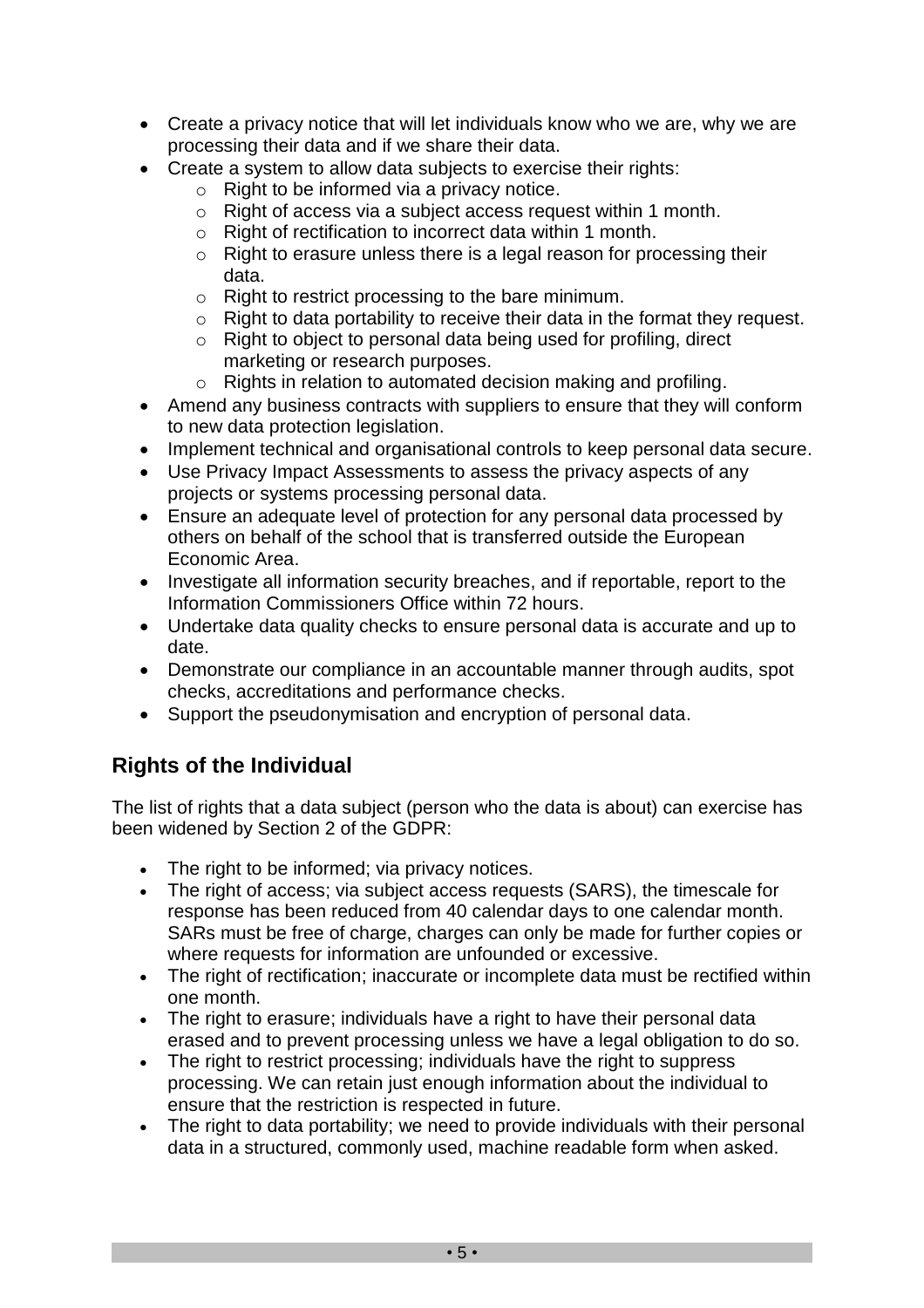- Create a privacy notice that will let individuals know who we are, why we are processing their data and if we share their data.
- Create a system to allow data subjects to exercise their rights:
	- $\circ$  Right to be informed via a privacy notice.
	- o Right of access via a subject access request within 1 month.
	- o Right of rectification to incorrect data within 1 month.
	- o Right to erasure unless there is a legal reason for processing their data.
	- o Right to restrict processing to the bare minimum.
	- $\circ$  Right to data portability to receive their data in the format they request.
	- o Right to object to personal data being used for profiling, direct marketing or research purposes.
	- o Rights in relation to automated decision making and profiling.
- Amend any business contracts with suppliers to ensure that they will conform to new data protection legislation.
- Implement technical and organisational controls to keep personal data secure.
- Use Privacy Impact Assessments to assess the privacy aspects of any projects or systems processing personal data.
- Ensure an adequate level of protection for any personal data processed by others on behalf of the school that is transferred outside the European Economic Area.
- Investigate all information security breaches, and if reportable, report to the Information Commissioners Office within 72 hours.
- Undertake data quality checks to ensure personal data is accurate and up to date.
- Demonstrate our compliance in an accountable manner through audits, spot checks, accreditations and performance checks.
- Support the pseudonymisation and encryption of personal data.

### **Rights of the Individual**

The list of rights that a data subject (person who the data is about) can exercise has been widened by Section 2 of the GDPR:

- The right to be informed; via privacy notices.
- The right of access; via subject access requests (SARS), the timescale for response has been reduced from 40 calendar days to one calendar month. SARs must be free of charge, charges can only be made for further copies or where requests for information are unfounded or excessive.
- The right of rectification; inaccurate or incomplete data must be rectified within one month.
- The right to erasure; individuals have a right to have their personal data erased and to prevent processing unless we have a legal obligation to do so.
- The right to restrict processing; individuals have the right to suppress processing. We can retain just enough information about the individual to ensure that the restriction is respected in future.
- The right to data portability; we need to provide individuals with their personal data in a structured, commonly used, machine readable form when asked.